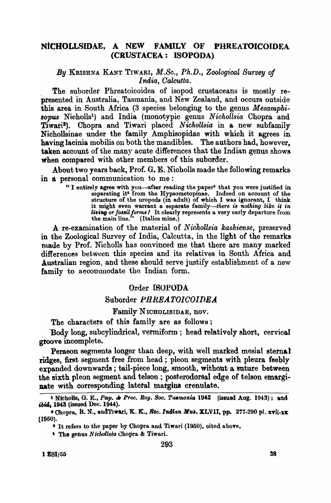## NICHOLLSIDAE, A NEW FAMILY OF PHREATOICOIDEA (CRUSTACEA: ISOPODA)

By KRISHNA KANT TIWARI; *M.Sc.,* Ph.D., *Zoological Survey of India, Oalcutta.* 

The suborder Phreatoicoidea of isopod crustaceans is mostly represented in Australia, Tasmania, and New Zealand, and occurs outside this area in South Africa (3 species belonging to the genus *Mesamphi-*80PUS Nicholls<sup>l</sup> ) and India (monotypic genus *Nichollsia* Chopra and Tiwari!).. Chopra and Tiwari placed *Nichollsia* in a new subfamily Nichollsinae under the family Amphisopidae with which it agrees in. having lacinia mobilis on both the mandibles. The authors had, however. taken account of the many acute differences that the Indian genus shows. when compared with other members of this suborder.

About two years back, Prof. G. E. Nicholls made the following remarks in a personal communication to me:

> "I entirely agree with you-after reading the paper<sup>3</sup> that you were justified in separating it<sup>4</sup> from the Hypsometopinae. Indeed on account of the structure of the uropods (in adult) of which I was ignorant, I think it might even warrant a separate family-there is nothing like it in. living or fossil forms / It clearly represents a very early departure from. the main line."  $(Italics mine.)$

A re-examination of the material *of N ic'hollsia kashiense,* preserved in the Zoological Survey of India, Calcutta, in the light of the remarks made by Prof. Nicholls has convinced me that there are many marked differences between this species and its relatives in South Africa and Australian region; and these should serve justify establishment of a new family to aecommodate the Indian form.

## Order ISOPODA

## Suborder *PHREATOIOOIDEA*

## Family NICHOLISIDAE, nov.

The characters of this family are as follows:

Body long, subcylindrical, vermiform; head relatively short, cervical groove incomplete.

Peraeon segments longer than deep, with well marked mesial sternal ridges, first segment free from head; pleon segments with pleura feebly expanded downwards; tail-piece long, smooth, without a suture between the sixth pleon segment and telson ; posterodorsal edge of telson emarginate with corresponding lateral margins crenulate.

<sup>1</sup> Nicholls, G. E., *Pap. & Proc. Roy. Soc. Taemania* 1942 (issued Aug. 1943); and ibid, 1943 (issued Dec. 1944).

<sup>•</sup> Chopra, B. N., andTiwari, K. K., Rec. Indian Mus. XI.VII, pp. 277-290 pl. xvii-xx (1950).

<sup>&</sup>lt;sup>3</sup> It refers to the paper by Chopra and Tiwari (1950), cited above.

<sup>,</sup> Tho genus N *ielwllaia* uhopra & Tiwari.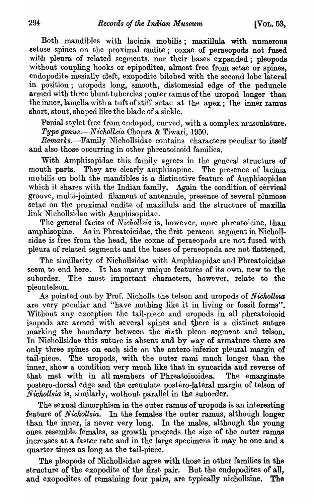Both mandibles with lacinia mobilis; maxillula with numerous setose spines on the proximal endite; coxae of peraeopods not fused with pleura of related segments, nor their bases expanded; pleopods without coupling hooks or epipodites, almost free from setae or spines. endopodite mesially cleft, exopodite bilobed with the second lobe lateral in position; uropods long, smooth, distomesial edge of the peduncle armed with three blunt tubercles ; outer ramus of the uropod longer than the inner, lamella with a tuft of stiff setae at the apex; the inner ramus short, stout, shaped like the blade of a sickle.

Penial stylet free from endopod, curved, with a complex musculature. *Type genus.-N ichollsia* Chopra & Tiwari, 1950.

*Remarks.*-Family Nichollsidae contains characters peculiar to itself and also those occurring in other phreatoicoid families.

With Amphisopidae this family agrees in the general structure of mouth parts. They are clearly amphisopine. The presence of lacinia mobilis on both the mandibles is a distinctive feature of Amphisopidae which it shares with the Indian family. Again the condition of cervical groove, multi-jointed filament of antennule, presence of several plumose setae on the proximal endite of maxillula and the structure of maxilla link Nichollsidae with Amphisopidae.

The general facies of *Nichollsia* is, however, more phreatoicine, than amphisopine. As in Phreatoicidae, the first peraeon segment in Nichollsidae is free from the head, the coxae of peraeopods are not fused with pleura of related segments and the bases of peraeopoda are not flattened.

The simillarity of Nichollsidae with Amphisopidae and Phreatoicidae seem to end here. It has many unique features of its own, new to the suborder. The most important characters, however, relate to the pleontelson.

As pointed out by Prof. Nicholls the telson and uropods of *Nickollsw,*  are very peculiar and "have nothing like it in living or fossil forms". Without any exception the tail-piece and uropods in all phreatoicoid isopods are armed with several spines and there is a distinct suture marking the boundary between the sixth pleon segment and telson. In Nichollsidae this suture is absent and by way of armature there are only three spines on each side on the antero-inferior pleural margin of tail-piece. The uropods, with the outer rami much longer than the inner, show a condition very much like that in syncarida and reverse of that met with in all members of Phreatoicoidea. The emarginate postero-dorsal edge and the crenulate postero-!ateral margin of telson of *Nichollsia* is, similarly, wothout parallel in the suborder.

The sexual dimorphism in the outer ramus of uropods is an interesting feature of *Nichollsia*. In the females the outer ramus, although longer than the inner, is never very long. In the males, although the young' ones resemble-females, as growth proceeds the size of the outer ramus increases at a faster rate and in the large specimens it may be one and a quarter times as long as the tail-piece.

The pleopods of Nichollsidae agree with those in other families in the structure of the exopodite of the first pair. But the endopodites of all, and exopodites of remaining four pairs, are typically nichollsine. The